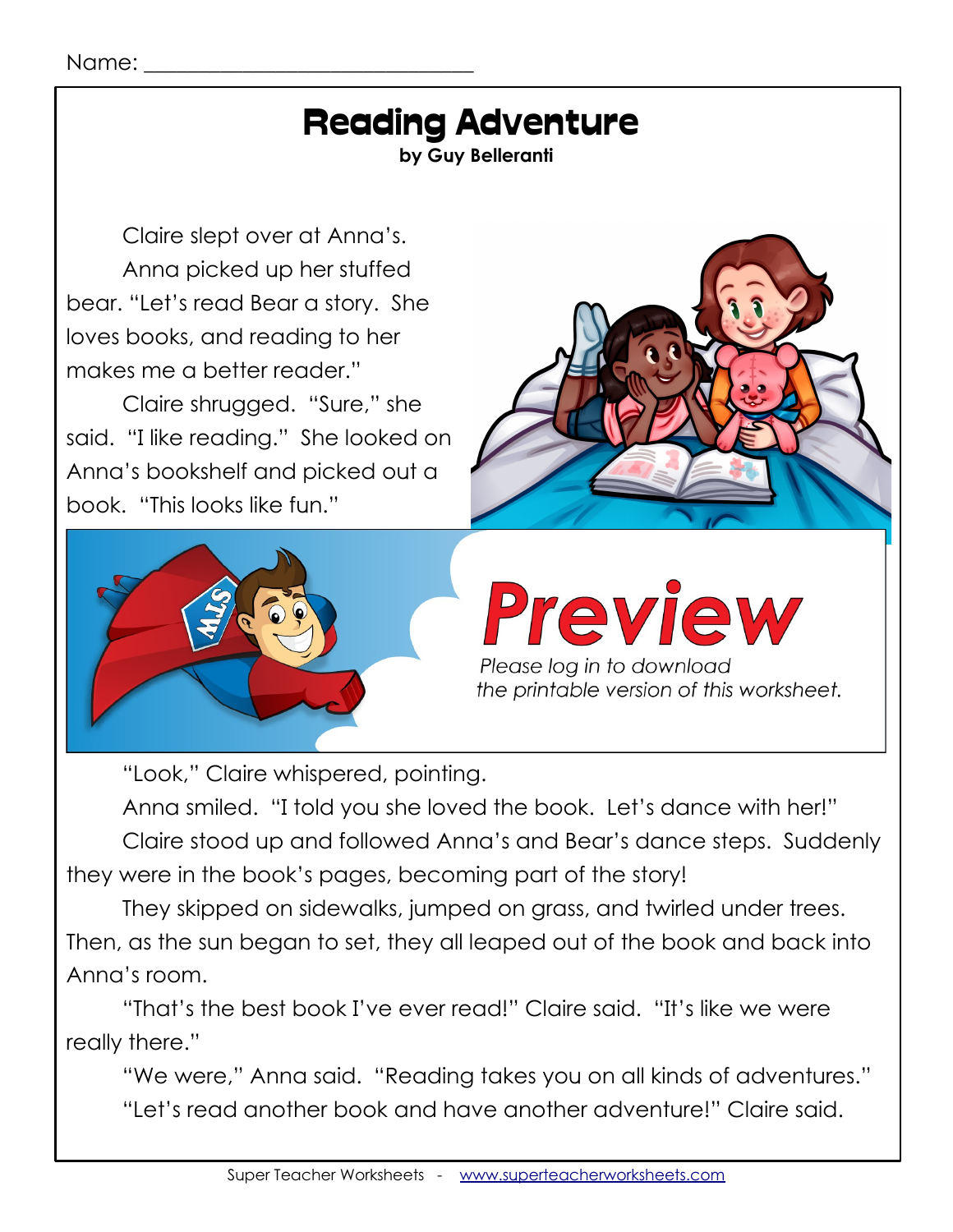#### Name:

### Reading Adventure

**by Guy Belleranti**

Claire slept over at Anna's. Anna picked up her stuffed bear. "Let's read Bear a story. She loves books, and reading to her makes me a better reader."

Claire shrugged. "Sure," she said. "I like reading." She looked on Anna's bookshelf and picked out a book. "This looks like fun."





"Look," Claire whispered, pointing.

Anna smiled. "I told you she loved the book. Let's dance with her!" Claire stood up and followed Anna's and Bear's dance steps. Suddenly they were in the book's pages, becoming part of the story!

They skipped on sidewalks, jumped on grass, and twirled under trees. Then, as the sun began to set, they all leaped out of the book and back into Anna's room.

"That's the best book I've ever read!" Claire said. "It's like we were really there."

"We were," Anna said. "Reading takes you on all kinds of adventures." "Let's read another book and have another adventure!" Claire said.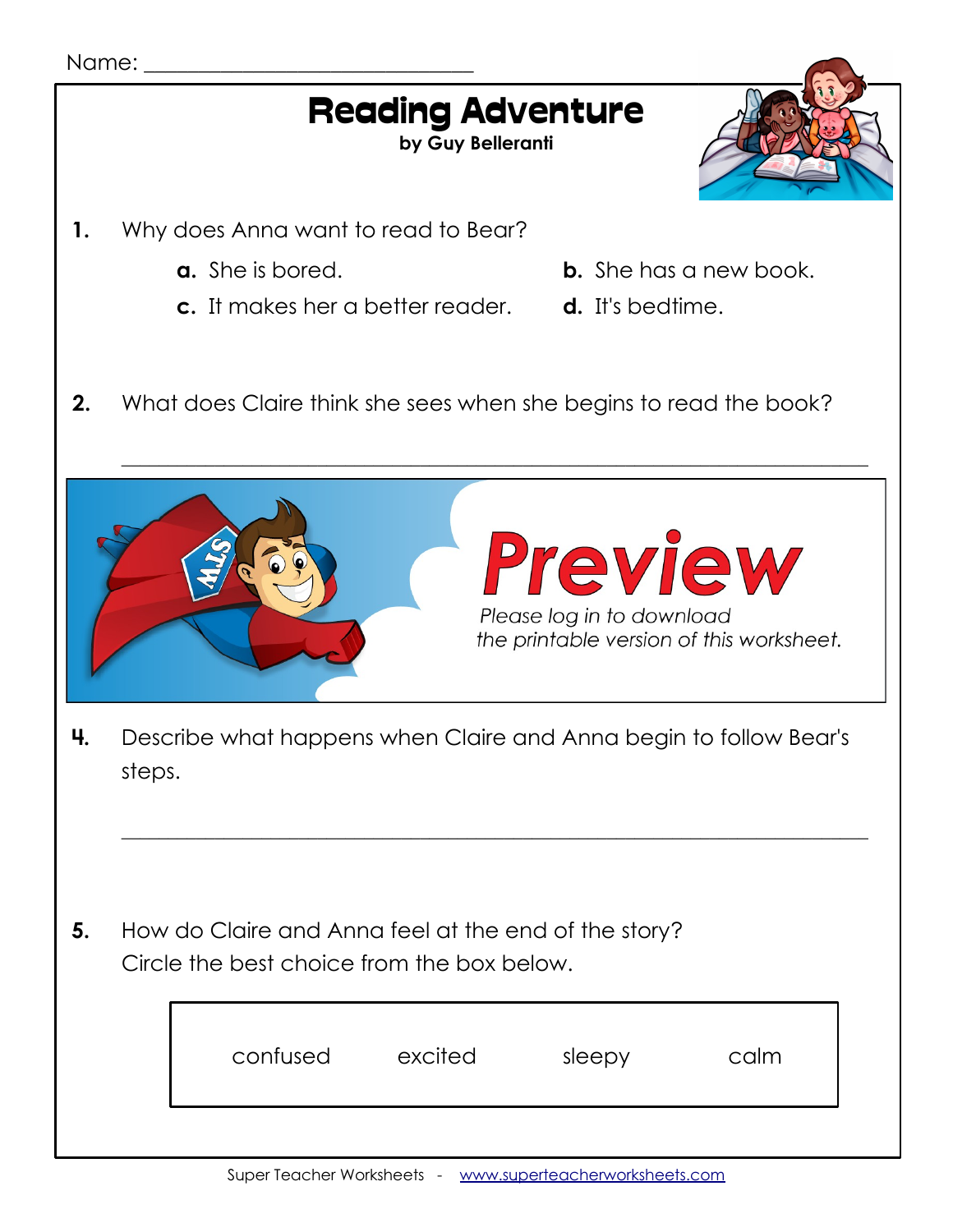### Reading Adventure

**by Guy Belleranti**



- **1.** Why does Anna want to read to Bear?
	-
	- **a.** She is bored. **b.** She has a new book.
	- **c.** It makes her a better reader. **d.** It's bedtime.
- 
- **2.** What does Claire think she sees when she begins to read the book?



**4.** Describe what happens when Claire and Anna begin to follow Bear's steps.

 $\_$  , and the set of the set of the set of the set of the set of the set of the set of the set of the set of the set of the set of the set of the set of the set of the set of the set of the set of the set of the set of th

**5.** How do Claire and Anna feel at the end of the story? Circle the best choice from the box below.

| confused | excited | sleepy | calm |
|----------|---------|--------|------|
|          |         |        |      |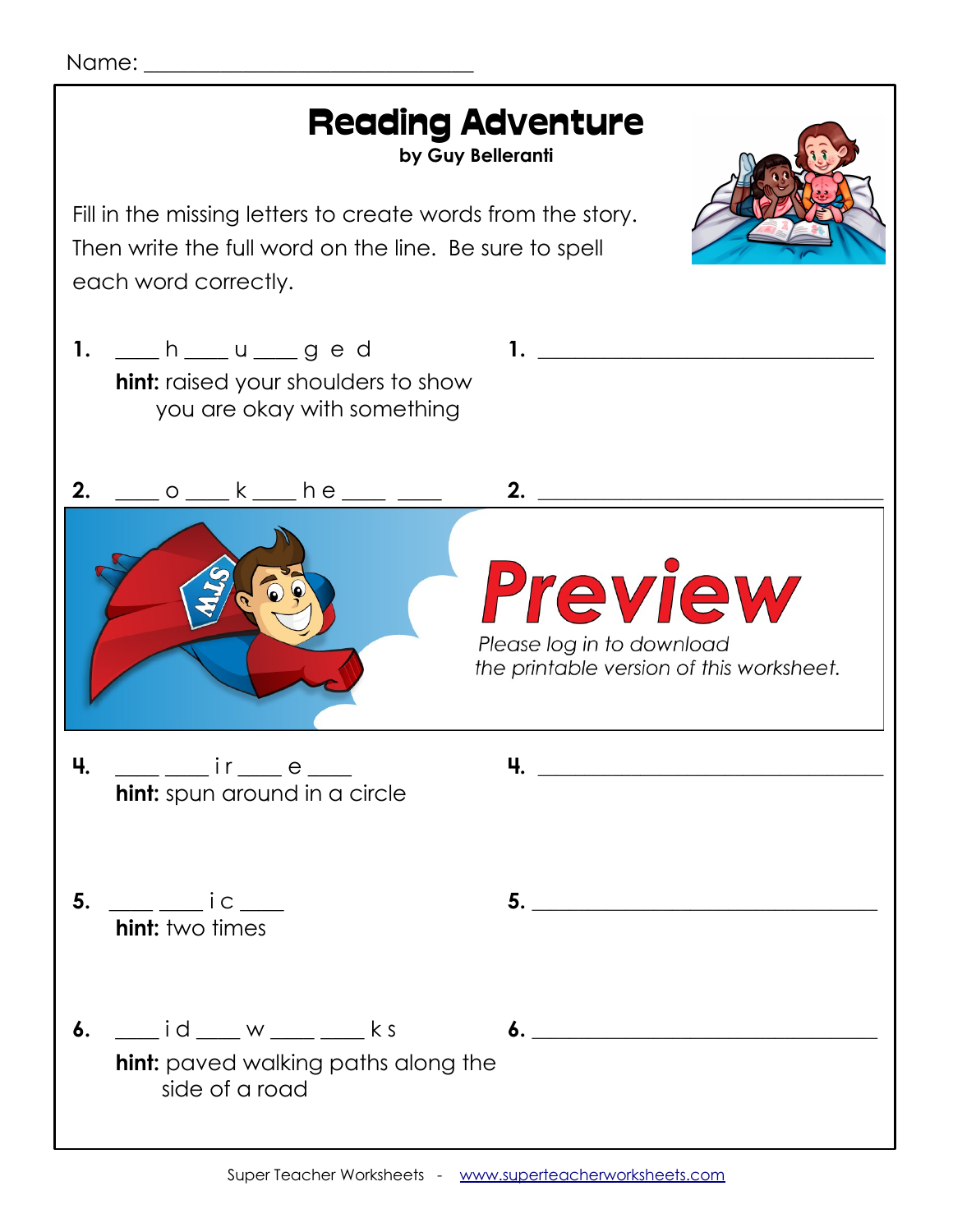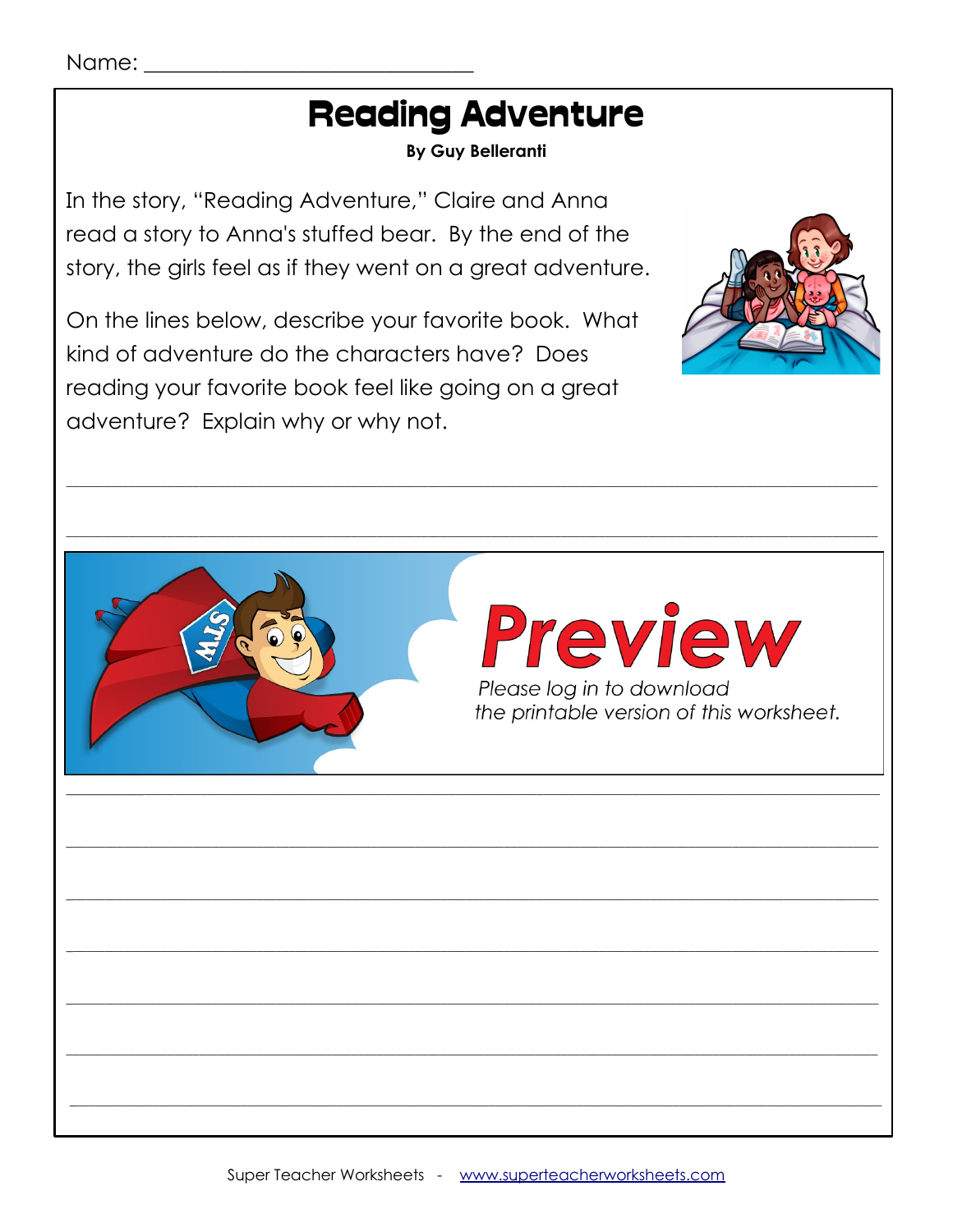# **Reading Adventure**

#### **By Guy Belleranti**

In the story, "Reading Adventure," Claire and Anna read a story to Anna's stuffed bear. By the end of the story, the girls feel as if they went on a great adventure.

On the lines below, describe your favorite book. What kind of adventure do the characters have? Does reading your favorite book feel like going on a great adventure? Explain why or why not.



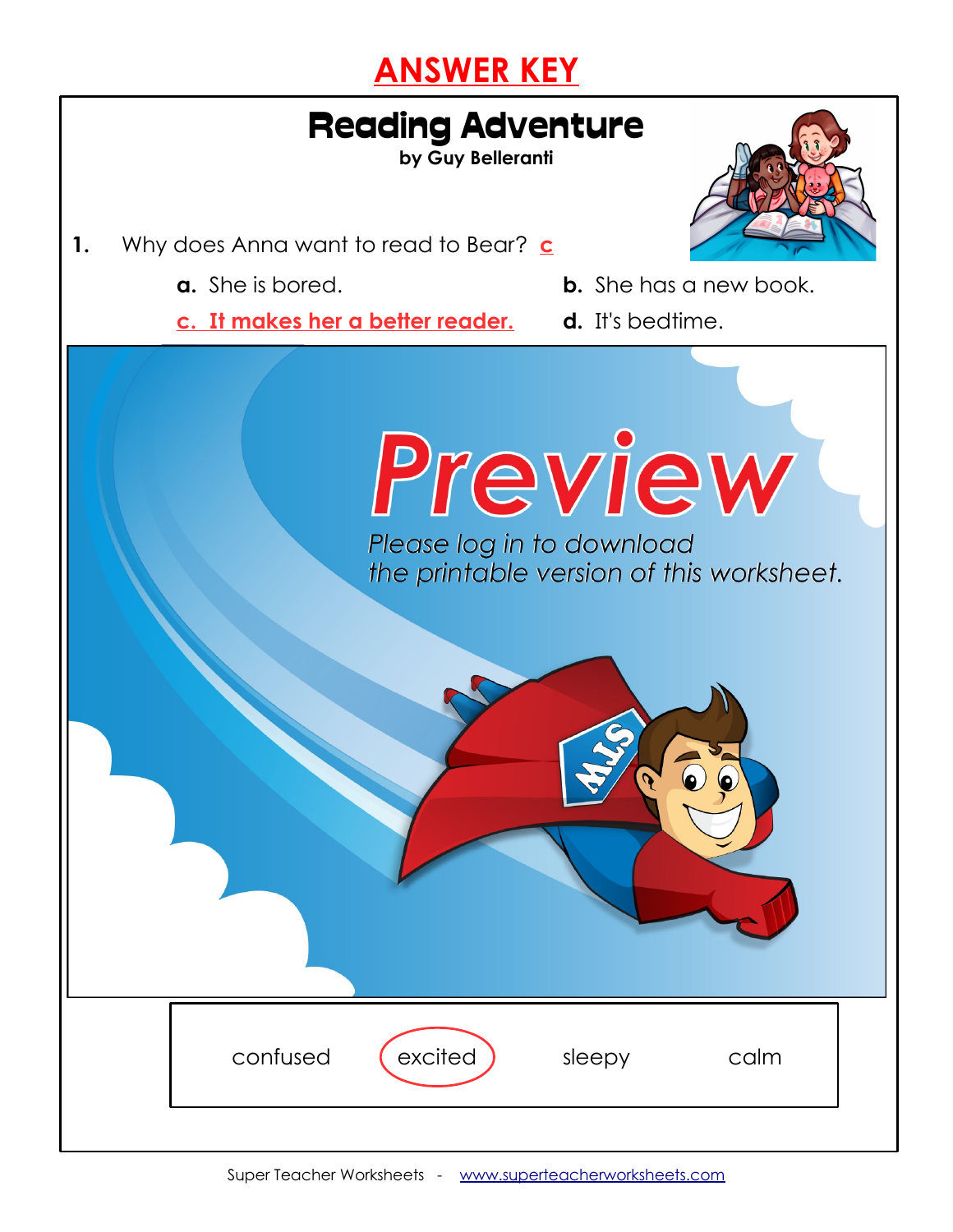# **ANSWER KEY**



**by Guy Belleranti**

- **1.** Why does Anna want to read to Bear? **c**
	-
	- **a.** She is bored. **b.** She has a new book.
	- **c. It makes her a better reader. d.** It's bedtime.
		-